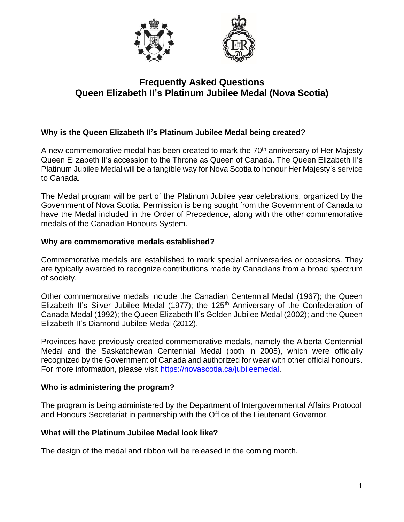

# **Frequently Asked Questions Queen Elizabeth II's Platinum Jubilee Medal (Nova Scotia)**

# **Why is the Queen Elizabeth II's Platinum Jubilee Medal being created?**

A new commemorative medal has been created to mark the 70<sup>th</sup> anniversary of Her Majesty Queen Elizabeth II's accession to the Throne as Queen of Canada. The Queen Elizabeth II's Platinum Jubilee Medal will be a tangible way for Nova Scotia to honour Her Majesty's service to Canada.

The Medal program will be part of the Platinum Jubilee year celebrations, organized by the Government of Nova Scotia. Permission is being sought from the Government of Canada to have the Medal included in the Order of Precedence, along with the other commemorative medals of the Canadian Honours System.

#### **Why are commemorative medals established?**

Commemorative medals are established to mark special anniversaries or occasions. They are typically awarded to recognize contributions made by Canadians from a broad spectrum of society.

Other commemorative medals include the Canadian Centennial Medal (1967); the Queen Elizabeth II's Silver Jubilee Medal (1977); the 125<sup>th</sup> Anniversary of the Confederation of Canada Medal (1992); the Queen Elizabeth II's Golden Jubilee Medal (2002); and the Queen Elizabeth II's Diamond Jubilee Medal (2012).

Provinces have previously created commemorative medals, namely the Alberta Centennial Medal and the Saskatchewan Centennial Medal (both in 2005), which were officially recognized by the Government of Canada and authorized for wear with other official honours. For more information, please visit [https://novascotia.ca/jubileemedal.](https://novascotia.ca/jubileemedal)

## **Who is administering the program?**

The program is being administered by the Department of Intergovernmental Affairs Protocol and Honours Secretariat in partnership with the Office of the Lieutenant Governor.

## **What will the Platinum Jubilee Medal look like?**

The design of the medal and ribbon will be released in the coming month.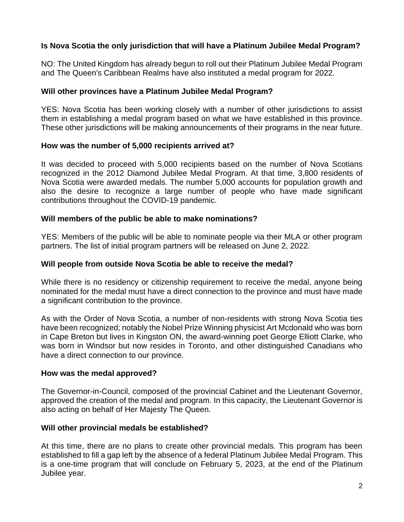# **Is Nova Scotia the only jurisdiction that will have a Platinum Jubilee Medal Program?**

NO: The United Kingdom has already begun to roll out their Platinum Jubilee Medal Program and The Queen's Caribbean Realms have also instituted a medal program for 2022.

#### **Will other provinces have a Platinum Jubilee Medal Program?**

YES: Nova Scotia has been working closely with a number of other jurisdictions to assist them in establishing a medal program based on what we have established in this province. These other jurisdictions will be making announcements of their programs in the near future.

#### **How was the number of 5,000 recipients arrived at?**

It was decided to proceed with 5,000 recipients based on the number of Nova Scotians recognized in the 2012 Diamond Jubilee Medal Program. At that time, 3,800 residents of Nova Scotia were awarded medals. The number 5,000 accounts for population growth and also the desire to recognize a large number of people who have made significant contributions throughout the COVID-19 pandemic.

#### **Will members of the public be able to make nominations?**

YES: Members of the public will be able to nominate people via their MLA or other program partners. The list of initial program partners will be released on June 2, 2022.

## **Will people from outside Nova Scotia be able to receive the medal?**

While there is no residency or citizenship requirement to receive the medal, anyone being nominated for the medal must have a direct connection to the province and must have made a significant contribution to the province.

As with the Order of Nova Scotia, a number of non-residents with strong Nova Scotia ties have been recognized; notably the Nobel Prize Winning physicist Art Mcdonald who was born in Cape Breton but lives in Kingston ON, the award-winning poet George Elliott Clarke, who was born in Windsor but now resides in Toronto, and other distinguished Canadians who have a direct connection to our province.

#### **How was the medal approved?**

The Governor-in-Council, composed of the provincial Cabinet and the Lieutenant Governor, approved the creation of the medal and program. In this capacity, the Lieutenant Governor is also acting on behalf of Her Majesty The Queen.

## **Will other provincial medals be established?**

At this time, there are no plans to create other provincial medals. This program has been established to fill a gap left by the absence of a federal Platinum Jubilee Medal Program. This is a one-time program that will conclude on February 5, 2023, at the end of the Platinum Jubilee year.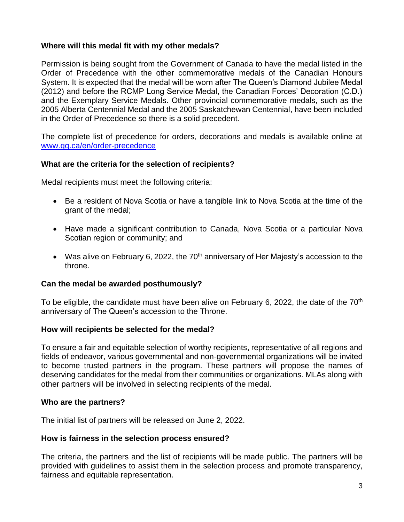## **Where will this medal fit with my other medals?**

Permission is being sought from the Government of Canada to have the medal listed in the Order of Precedence with the other commemorative medals of the Canadian Honours System. It is expected that the medal will be worn after The Queen's Diamond Jubilee Medal (2012) and before the RCMP Long Service Medal, the Canadian Forces' Decoration (C.D.) and the Exemplary Service Medals. Other provincial commemorative medals, such as the 2005 Alberta Centennial Medal and the 2005 Saskatchewan Centennial, have been included in the Order of Precedence so there is a solid precedent.

The complete list of precedence for orders, decorations and medals is available online at [www.gg.ca/en/order-precedence](http://www.gg.ca/en/order-precedence)

## **What are the criteria for the selection of recipients?**

Medal recipients must meet the following criteria:

- Be a resident of Nova Scotia or have a tangible link to Nova Scotia at the time of the grant of the medal;
- Have made a significant contribution to Canada, Nova Scotia or a particular Nova Scotian region or community; and
- Was alive on February 6, 2022, the  $70<sup>th</sup>$  anniversary of Her Majesty's accession to the throne.

## **Can the medal be awarded posthumously?**

To be eligible, the candidate must have been alive on February 6, 2022, the date of the 70<sup>th</sup> anniversary of The Queen's accession to the Throne.

## **How will recipients be selected for the medal?**

To ensure a fair and equitable selection of worthy recipients, representative of all regions and fields of endeavor, various governmental and non-governmental organizations will be invited to become trusted partners in the program. These partners will propose the names of deserving candidates for the medal from their communities or organizations. MLAs along with other partners will be involved in selecting recipients of the medal.

#### **Who are the partners?**

The initial list of partners will be released on June 2, 2022.

#### **How is fairness in the selection process ensured?**

The criteria, the partners and the list of recipients will be made public. The partners will be provided with guidelines to assist them in the selection process and promote transparency, fairness and equitable representation.